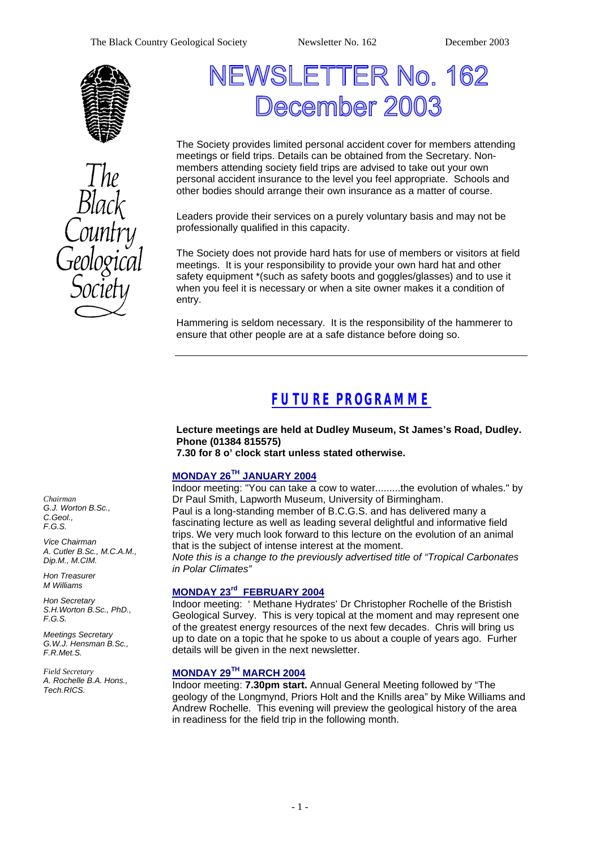



# NEWSLETTER No. 162 ecember 2003

The Society provides limited personal accident cover for members attending meetings or field trips. Details can be obtained from the Secretary. Nonmembers attending society field trips are advised to take out your own personal accident insurance to the level you feel appropriate. Schools and other bodies should arrange their own insurance as a matter of course.

Leaders provide their services on a purely voluntary basis and may not be professionally qualified in this capacity.

The Society does not provide hard hats for use of members or visitors at field meetings. It is your responsibility to provide your own hard hat and other safety equipment \*(such as safety boots and goggles/glasses) and to use it when you feel it is necessary or when a site owner makes it a condition of entry.

Hammering is seldom necessary. It is the responsibility of the hammerer to ensure that other people are at a safe distance before doing so.

# *FUTURE PROGRAMME*

**Lecture meetings are held at Dudley Museum, St James's Road, Dudley. Phone (01384 815575) 7.30 for 8 o' clock start unless stated otherwise.**

### **MONDAY 26TH JANUARY 2004**

Indoor meeting: "You can take a cow to water.........the evolution of whales." by Dr Paul Smith, Lapworth Museum, University of Birmingham. Paul is a long-standing member of B.C.G.S. and has delivered many a fascinating lecture as well as leading several delightful and informative field trips. We very much look forward to this lecture on the evolution of an animal that is the subject of intense interest at the moment. *Note this is a change to the previously advertised title of "Tropical Carbonates in Polar Climates"* 

#### **MONDAY 23rd FEBRUARY 2004**

Indoor meeting: ' Methane Hydrates' Dr Christopher Rochelle of the Bristish Geological Survey. This is very topical at the moment and may represent one of the greatest energy resources of the next few decades. Chris will bring us up to date on a topic that he spoke to us about a couple of years ago. Furher details will be given in the next newsletter.

#### **MONDAY 29TH MARCH 2004**

Indoor meeting: **7.30pm start.** Annual General Meeting followed by "The geology of the Longmynd, Priors Holt and the Knills area" by Mike Williams and Andrew Rochelle. This evening will preview the geological history of the area in readiness for the field trip in the following month.

*Chairman G.J. Worton B.Sc., C.Geol., F.G.S.*

*Vice Chairman A. Cutler B.Sc., M.C.A.M., Dip.M., M.CIM.*

*Hon Treasurer M Williams* 

*Hon Secretary S.H.Worton B.Sc., PhD., F.G.S.*

*Meetings Secretary G.W.J. Hensman B.Sc., F.R.Met.S.*

*Field Secretary A. Rochelle B.A. Hons., Tech.RICS.*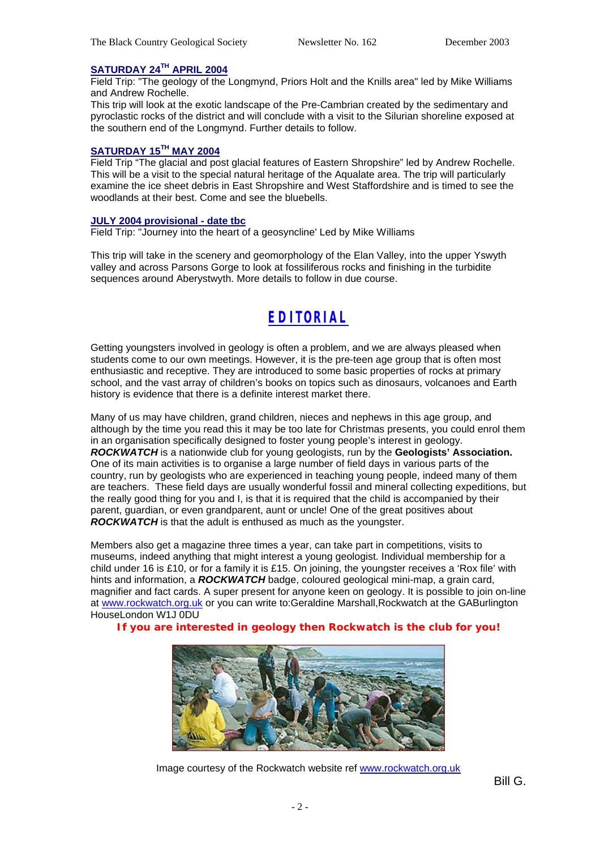#### **SATURDAY 24TH APRIL 2004**

Field Trip: "The geology of the Longmynd, Priors Holt and the Knills area" led by Mike Williams and Andrew Rochelle.

This trip will look at the exotic landscape of the Pre-Cambrian created by the sedimentary and pyroclastic rocks of the district and will conclude with a visit to the Silurian shoreline exposed at the southern end of the Longmynd. Further details to follow.

#### **SATURDAY 15TH MAY 2004**

Field Trip "The glacial and post glacial features of Eastern Shropshire" led by Andrew Rochelle. This will be a visit to the special natural heritage of the Aqualate area. The trip will particularly examine the ice sheet debris in East Shropshire and West Staffordshire and is timed to see the woodlands at their best. Come and see the bluebells.

#### **JULY 2004 provisional - date tbc**

Field Trip: "Journey into the heart of a geosyncline' Led by Mike Williams

This trip will take in the scenery and geomorphology of the Elan Valley, into the upper Yswyth valley and across Parsons Gorge to look at fossiliferous rocks and finishing in the turbidite sequences around Aberystwyth. More details to follow in due course.

# *EDITORIAL*

Getting youngsters involved in geology is often a problem, and we are always pleased when students come to our own meetings. However, it is the pre-teen age group that is often most enthusiastic and receptive. They are introduced to some basic properties of rocks at primary school, and the vast array of children's books on topics such as dinosaurs, volcanoes and Earth history is evidence that there is a definite interest market there.

Many of us may have children, grand children, nieces and nephews in this age group, and although by the time you read this it may be too late for Christmas presents, you could enrol them in an organisation specifically designed to foster young people's interest in geology. *ROCKWATCH* is a nationwide club for young geologists, run by the **Geologists' Association.**  One of its main activities is to organise a large number of field days in various parts of the country, run by geologists who are experienced in teaching young people, indeed many of them are teachers. These field days are usually wonderful fossil and mineral collecting expeditions, but the really good thing for you and I, is that it is required that the child is accompanied by their parent, guardian, or even grandparent, aunt or uncle! One of the great positives about *ROCKWATCH* is that the adult is enthused as much as the youngster.

Members also get a magazine three times a year, can take part in competitions, visits to museums, indeed anything that might interest a young geologist. Individual membership for a child under 16 is £10, or for a family it is £15. On joining, the youngster receives a 'Rox file' with hints and information, a *ROCKWATCH* badge, coloured geological mini-map, a grain card, magnifier and fact cards. A super present for anyone keen on geology. It is possible to join on-line at www.rockwatch.org.uk or you can write to:Geraldine Marshall,Rockwatch at the GABurlington HouseLondon W1J 0DU

#### **If you are interested in geology then Rockwatch is the club for you!**



Image courtesy of the Rockwatch website ref www.rockwatch.org.uk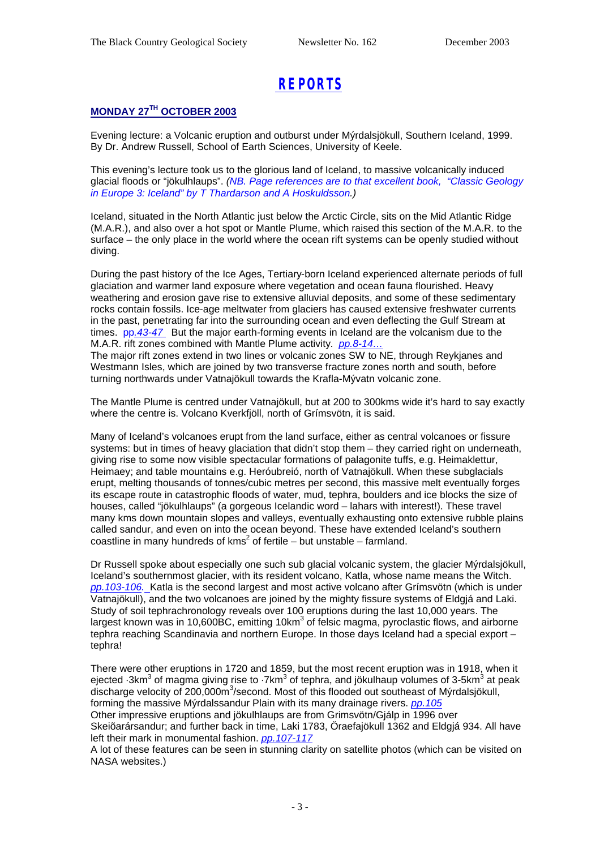# *REPORTS*

### **MONDAY 27TH OCTOBER 2003**

Evening lecture: a Volcanic eruption and outburst under Mýrdalsjökull, Southern Iceland, 1999. By Dr. Andrew Russell, School of Earth Sciences, University of Keele.

This evening's lecture took us to the glorious land of Iceland, to massive volcanically induced glacial floods or "jökulhlaups". *(NB. Page references are to that excellent book, "Classic Geology in Europe 3: Iceland" by T Thardarson and A Hoskuldsson.)*

Iceland, situated in the North Atlantic just below the Arctic Circle, sits on the Mid Atlantic Ridge (M.A.R.), and also over a hot spot or Mantle Plume, which raised this section of the M.A.R. to the surface – the only place in the world where the ocean rift systems can be openly studied without diving.

During the past history of the Ice Ages, Tertiary-born Iceland experienced alternate periods of full glaciation and warmer land exposure where vegetation and ocean fauna flourished. Heavy weathering and erosion gave rise to extensive alluvial deposits, and some of these sedimentary rocks contain fossils. Ice-age meltwater from glaciers has caused extensive freshwater currents in the past, penetrating far into the surrounding ocean and even deflecting the Gulf Stream at times. pp*.43-47* But the major earth-forming events in Iceland are the volcanism due to the M.A.R. rift zones combined with Mantle Plume activity. *pp.8-14…*

The major rift zones extend in two lines or volcanic zones SW to NE, through Reykjanes and Westmann Isles, which are joined by two transverse fracture zones north and south, before turning northwards under Vatnajökull towards the Krafla-Mývatn volcanic zone.

The Mantle Plume is centred under Vatnajökull, but at 200 to 300kms wide it's hard to say exactly where the centre is. Volcano Kverkfjöll, north of Grímsvötn, it is said.

Many of Iceland's volcanoes erupt from the land surface, either as central volcanoes or fissure systems: but in times of heavy glaciation that didn't stop them – they carried right on underneath, giving rise to some now visible spectacular formations of palagonite tuffs, e.g. Heimaklettur, Heimaey; and table mountains e.g. Heróubreió, north of Vatnajökull. When these subglacials erupt, melting thousands of tonnes/cubic metres per second, this massive melt eventually forges its escape route in catastrophic floods of water, mud, tephra, boulders and ice blocks the size of houses, called "jökulhlaups" (a gorgeous Icelandic word – lahars with interest!). These travel many kms down mountain slopes and valleys, eventually exhausting onto extensive rubble plains called sandur, and even on into the ocean beyond. These have extended Iceland's southern coastline in many hundreds of kms<sup>2</sup> of fertile  $-$  but unstable  $-$  farmland.

Dr Russell spoke about especially one such sub glacial volcanic system, the glacier Mýrdalsjökull, Iceland's southernmost glacier, with its resident volcano, Katla, whose name means the Witch. *pp.103-106.* Katla is the second largest and most active volcano after Grímsvötn (which is under Vatnajökull), and the two volcanoes are joined by the mighty fissure systems of Eldgjá and Laki. Study of soil tephrachronology reveals over 100 eruptions during the last 10,000 years. The largest known was in 10,600BC, emitting 10km<sup>3</sup> of felsic magma, pyroclastic flows, and airborne tephra reaching Scandinavia and northern Europe. In those days Iceland had a special export – tephra!

There were other eruptions in 1720 and 1859, but the most recent eruption was in 1918, when it ejected  $\cdot$ 3km $^3$  of magma giving rise to  $\cdot$ 7km $^3$  of tephra, and jökulhaup volumes of 3-5km $^3$  at peak discharge velocity of 200,000m<sup>3</sup>/second. Most of this flooded out southeast of Mýrdalsjökull, forming the massive Mýrdalssandur Plain with its many drainage rivers. *pp.105* Other impressive eruptions and jökulhlaups are from Grimsvötn/Gjálp in 1996 over

Skeiõarársandur; and further back in time, Laki 1783, Öraefajökull 1362 and Eldgjá 934. All have left their mark in monumental fashion. *pp.107-117*

A lot of these features can be seen in stunning clarity on satellite photos (which can be visited on NASA websites.)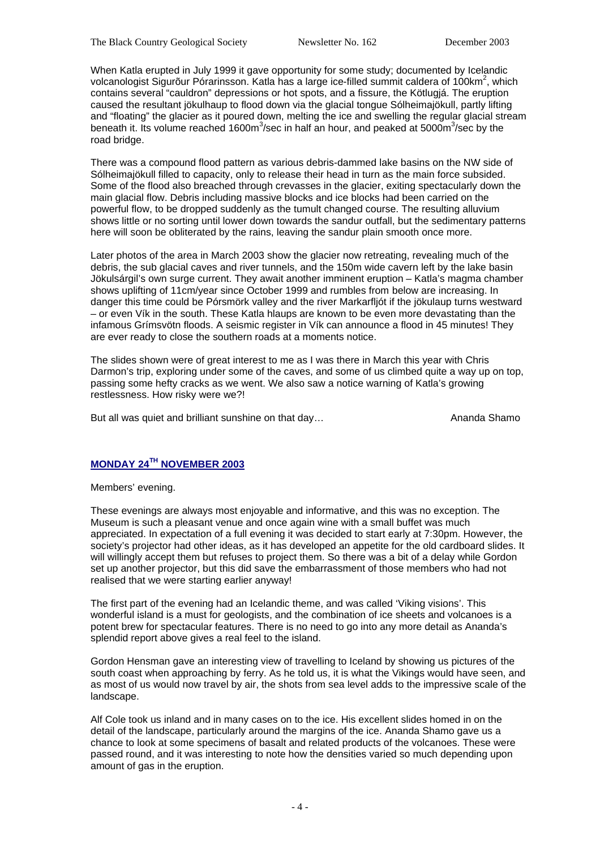When Katla erupted in July 1999 it gave opportunity for some study; documented by Icelandic volcanologist Sigurõur Pórarinsson. Katla has a large ice-filled summit caldera of 100km<sup>2</sup>, which contains several "cauldron" depressions or hot spots, and a fissure, the Kötlugjá. The eruption caused the resultant jökulhaup to flood down via the glacial tongue Sólheimajökull, partly lifting and "floating" the glacier as it poured down, melting the ice and swelling the regular glacial stream beneath it. Its volume reached 1600m<sup>3</sup>/sec in half an hour, and peaked at 5000m<sup>3</sup>/sec by the road bridge.

There was a compound flood pattern as various debris-dammed lake basins on the NW side of Sólheimajökull filled to capacity, only to release their head in turn as the main force subsided. Some of the flood also breached through crevasses in the glacier, exiting spectacularly down the main glacial flow. Debris including massive blocks and ice blocks had been carried on the powerful flow, to be dropped suddenly as the tumult changed course. The resulting alluvium shows little or no sorting until lower down towards the sandur outfall, but the sedimentary patterns here will soon be obliterated by the rains, leaving the sandur plain smooth once more.

Later photos of the area in March 2003 show the glacier now retreating, revealing much of the debris, the sub glacial caves and river tunnels, and the 150m wide cavern left by the lake basin Jökulsárgil's own surge current. They await another imminent eruption – Katla's magma chamber shows uplifting of 11cm/year since October 1999 and rumbles from below are increasing. In danger this time could be Pórsmörk valley and the river Markarfljót if the jökulaup turns westward – or even Vík in the south. These Katla hlaups are known to be even more devastating than the infamous Grímsvötn floods. A seismic register in Vík can announce a flood in 45 minutes! They are ever ready to close the southern roads at a moments notice.

The slides shown were of great interest to me as I was there in March this year with Chris Darmon's trip, exploring under some of the caves, and some of us climbed quite a way up on top, passing some hefty cracks as we went. We also saw a notice warning of Katla's growing restlessness. How risky were we?!

But all was quiet and brilliant sunshine on that day… Anang Ananda Shamo

#### **MONDAY 24TH NOVEMBER 2003**

Members' evening.

These evenings are always most enjoyable and informative, and this was no exception. The Museum is such a pleasant venue and once again wine with a small buffet was much appreciated. In expectation of a full evening it was decided to start early at 7:30pm. However, the society's projector had other ideas, as it has developed an appetite for the old cardboard slides. It will willingly accept them but refuses to project them. So there was a bit of a delay while Gordon set up another projector, but this did save the embarrassment of those members who had not realised that we were starting earlier anyway!

The first part of the evening had an Icelandic theme, and was called 'Viking visions'. This wonderful island is a must for geologists, and the combination of ice sheets and volcanoes is a potent brew for spectacular features. There is no need to go into any more detail as Ananda's splendid report above gives a real feel to the island.

Gordon Hensman gave an interesting view of travelling to Iceland by showing us pictures of the south coast when approaching by ferry. As he told us, it is what the Vikings would have seen, and as most of us would now travel by air, the shots from sea level adds to the impressive scale of the landscape.

Alf Cole took us inland and in many cases on to the ice. His excellent slides homed in on the detail of the landscape, particularly around the margins of the ice. Ananda Shamo gave us a chance to look at some specimens of basalt and related products of the volcanoes. These were passed round, and it was interesting to note how the densities varied so much depending upon amount of gas in the eruption.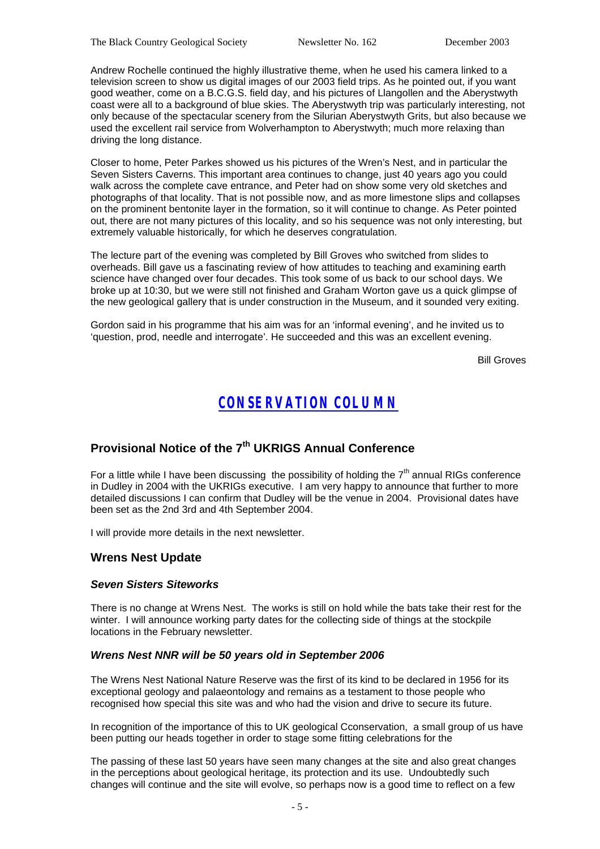Andrew Rochelle continued the highly illustrative theme, when he used his camera linked to a television screen to show us digital images of our 2003 field trips. As he pointed out, if you want good weather, come on a B.C.G.S. field day, and his pictures of Llangollen and the Aberystwyth coast were all to a background of blue skies. The Aberystwyth trip was particularly interesting, not only because of the spectacular scenery from the Silurian Aberystwyth Grits, but also because we used the excellent rail service from Wolverhampton to Aberystwyth; much more relaxing than driving the long distance.

Closer to home, Peter Parkes showed us his pictures of the Wren's Nest, and in particular the Seven Sisters Caverns. This important area continues to change, just 40 years ago you could walk across the complete cave entrance, and Peter had on show some very old sketches and photographs of that locality. That is not possible now, and as more limestone slips and collapses on the prominent bentonite layer in the formation, so it will continue to change. As Peter pointed out, there are not many pictures of this locality, and so his sequence was not only interesting, but extremely valuable historically, for which he deserves congratulation.

The lecture part of the evening was completed by Bill Groves who switched from slides to overheads. Bill gave us a fascinating review of how attitudes to teaching and examining earth science have changed over four decades. This took some of us back to our school days. We broke up at 10:30, but we were still not finished and Graham Worton gave us a quick glimpse of the new geological gallery that is under construction in the Museum, and it sounded very exiting.

Gordon said in his programme that his aim was for an 'informal evening', and he invited us to 'question, prod, needle and interrogate'. He succeeded and this was an excellent evening.

Bill Groves

### *CONSERVATION COLUMN*

### **Provisional Notice of the 7th UKRIGS Annual Conference**

For a little while I have been discussing the possibility of holding the  $7<sup>th</sup>$  annual RIGs conference in Dudley in 2004 with the UKRIGs executive. I am very happy to announce that further to more detailed discussions I can confirm that Dudley will be the venue in 2004. Provisional dates have been set as the 2nd 3rd and 4th September 2004.

I will provide more details in the next newsletter.

#### **Wrens Nest Update**

#### *Seven Sisters Siteworks*

There is no change at Wrens Nest. The works is still on hold while the bats take their rest for the winter. I will announce working party dates for the collecting side of things at the stockpile locations in the February newsletter.

#### *Wrens Nest NNR will be 50 years old in September 2006*

The Wrens Nest National Nature Reserve was the first of its kind to be declared in 1956 for its exceptional geology and palaeontology and remains as a testament to those people who recognised how special this site was and who had the vision and drive to secure its future.

In recognition of the importance of this to UK geological Cconservation, a small group of us have been putting our heads together in order to stage some fitting celebrations for the

The passing of these last 50 years have seen many changes at the site and also great changes in the perceptions about geological heritage, its protection and its use. Undoubtedly such changes will continue and the site will evolve, so perhaps now is a good time to reflect on a few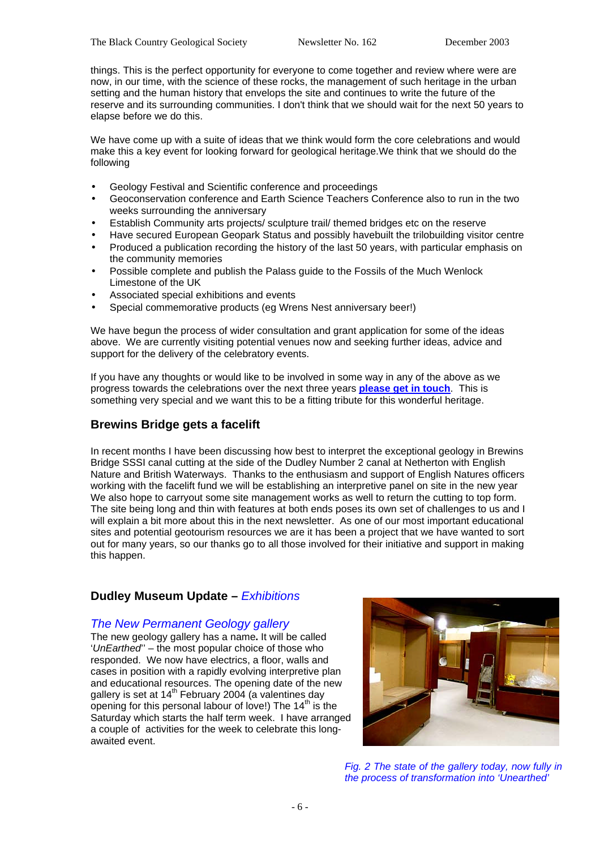things. This is the perfect opportunity for everyone to come together and review where were are now, in our time, with the science of these rocks, the management of such heritage in the urban setting and the human history that envelops the site and continues to write the future of the reserve and its surrounding communities. I don't think that we should wait for the next 50 years to elapse before we do this.

We have come up with a suite of ideas that we think would form the core celebrations and would make this a key event for looking forward for geological heritage.We think that we should do the following

- Geology Festival and Scientific conference and proceedings
- Geoconservation conference and Earth Science Teachers Conference also to run in the two weeks surrounding the anniversary
- Establish Community arts projects/ sculpture trail/ themed bridges etc on the reserve
- Have secured European Geopark Status and possibly havebuilt the trilobuilding visitor centre
- Produced a publication recording the history of the last 50 years, with particular emphasis on the community memories
- Possible complete and publish the Palass guide to the Fossils of the Much Wenlock Limestone of the UK
- Associated special exhibitions and events
- Special commemorative products (eg Wrens Nest anniversary beer!)

We have begun the process of wider consultation and grant application for some of the ideas above. We are currently visiting potential venues now and seeking further ideas, advice and support for the delivery of the celebratory events.

If you have any thoughts or would like to be involved in some way in any of the above as we progress towards the celebrations over the next three years **please get in touch**. This is something very special and we want this to be a fitting tribute for this wonderful heritage.

### **Brewins Bridge gets a facelift**

In recent months I have been discussing how best to interpret the exceptional geology in Brewins Bridge SSSI canal cutting at the side of the Dudley Number 2 canal at Netherton with English Nature and British Waterways. Thanks to the enthusiasm and support of English Natures officers working with the facelift fund we will be establishing an interpretive panel on site in the new year We also hope to carryout some site management works as well to return the cutting to top form. The site being long and thin with features at both ends poses its own set of challenges to us and I will explain a bit more about this in the next newsletter. As one of our most important educational sites and potential geotourism resources we are it has been a project that we have wanted to sort out for many years, so our thanks go to all those involved for their initiative and support in making this happen.

### **Dudley Museum Update –** *Exhibitions*

#### *The New Permanent Geology gallery*

The new geology gallery has a name**.** It will be called '*UnEarthed*'' – the most popular choice of those who responded. We now have electrics, a floor, walls and cases in position with a rapidly evolving interpretive plan and educational resources. The opening date of the new gallery is set at  $14<sup>th</sup>$  February 2004 (a valentines day opening for this personal labour of love!) The  $14<sup>th</sup>$  is the Saturday which starts the half term week. I have arranged a couple of activities for the week to celebrate this longawaited event.



*Fig. 2 The state of the gallery today, now fully in the process of transformation into 'Unearthed'*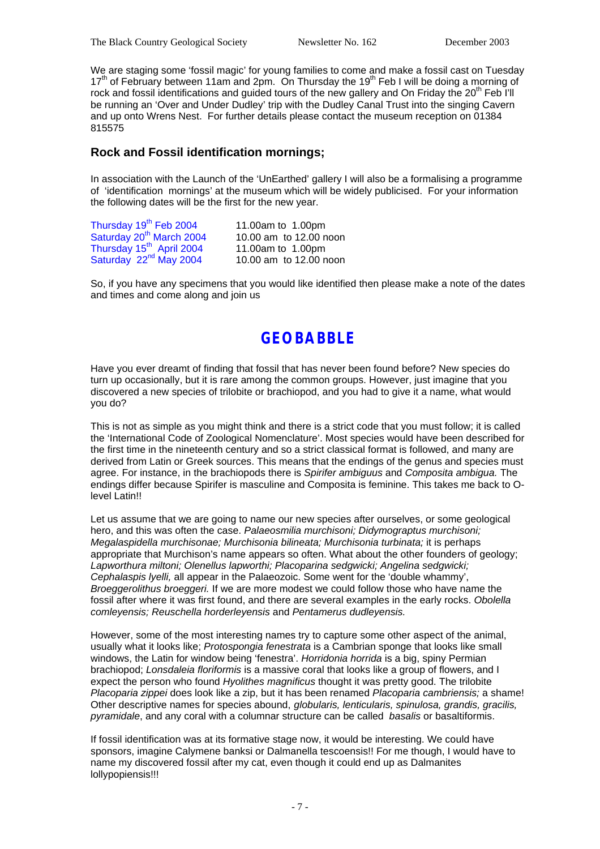We are staging some 'fossil magic' for young families to come and make a fossil cast on Tuesday  $17<sup>th</sup>$  of February between 11am and 2pm. On Thursday the 19<sup>th</sup> Feb I will be doing a morning of rock and fossil identifications and quided tours of the new gallery and On Friday the 20<sup>th</sup> Feb I'll be running an 'Over and Under Dudley' trip with the Dudley Canal Trust into the singing Cavern and up onto Wrens Nest. For further details please contact the museum reception on 01384 815575

### **Rock and Fossil identification mornings;**

In association with the Launch of the 'UnEarthed' gallery I will also be a formalising a programme of 'identification mornings' at the museum which will be widely publicised. For your information the following dates will be the first for the new year.

| Thursday 19 <sup>th</sup> Feb 2004   | 11.00am to 1.00pm      |
|--------------------------------------|------------------------|
| Saturday 20 <sup>th</sup> March 2004 | 10.00 am to 12.00 noon |
| Thursday 15 <sup>th</sup> April 2004 | 11.00am to 1.00pm      |
| Saturday 22 <sup>nd</sup> May 2004   | 10.00 am to 12.00 noon |

So, if you have any specimens that you would like identified then please make a note of the dates and times and come along and join us

## **GEOBABBLE**

Have you ever dreamt of finding that fossil that has never been found before? New species do turn up occasionally, but it is rare among the common groups. However, just imagine that you discovered a new species of trilobite or brachiopod, and you had to give it a name, what would you do?

This is not as simple as you might think and there is a strict code that you must follow; it is called the 'International Code of Zoological Nomenclature'. Most species would have been described for the first time in the nineteenth century and so a strict classical format is followed, and many are derived from Latin or Greek sources. This means that the endings of the genus and species must agree. For instance, in the brachiopods there is *Spirifer ambiguus* and *Composita ambigua.* The endings differ because Spirifer is masculine and Composita is feminine. This takes me back to Olevel Latin!!

Let us assume that we are going to name our new species after ourselves, or some geological hero, and this was often the case. *Palaeosmilia murchisoni; Didymograptus murchisoni; Megalaspidella murchisonae; Murchisonia bilineata; Murchisonia turbinata;* it is perhaps appropriate that Murchison's name appears so often. What about the other founders of geology; *Lapworthura miltoni; Olenellus lapworthi; Placoparina sedgwicki; Angelina sedgwicki; Cephalaspis lyelli,* all appear in the Palaeozoic. Some went for the 'double whammy', *Broeggerolithus broeggeri.* If we are more modest we could follow those who have name the fossil after where it was first found, and there are several examples in the early rocks. *Obolella comleyensis; Reuschella horderleyensis* and *Pentamerus dudleyensis.* 

However, some of the most interesting names try to capture some other aspect of the animal, usually what it looks like; *Protospongia fenestrata* is a Cambrian sponge that looks like small windows, the Latin for window being 'fenestra'. *Horridonia horrida* is a big, spiny Permian brachiopod; *Lonsdaleia floriformis* is a massive coral that looks like a group of flowers, and I expect the person who found *Hyolithes magnificus* thought it was pretty good. The trilobite *Placoparia zippei* does look like a zip, but it has been renamed *Placoparia cambriensis;* a shame! Other descriptive names for species abound, *globularis, lenticularis, spinulosa, grandis, gracilis, pyramidale*, and any coral with a columnar structure can be called *basalis* or basaltiformis.

If fossil identification was at its formative stage now, it would be interesting. We could have sponsors, imagine Calymene banksi or Dalmanella tescoensis!! For me though, I would have to name my discovered fossil after my cat, even though it could end up as Dalmanites lollypopiensis!!!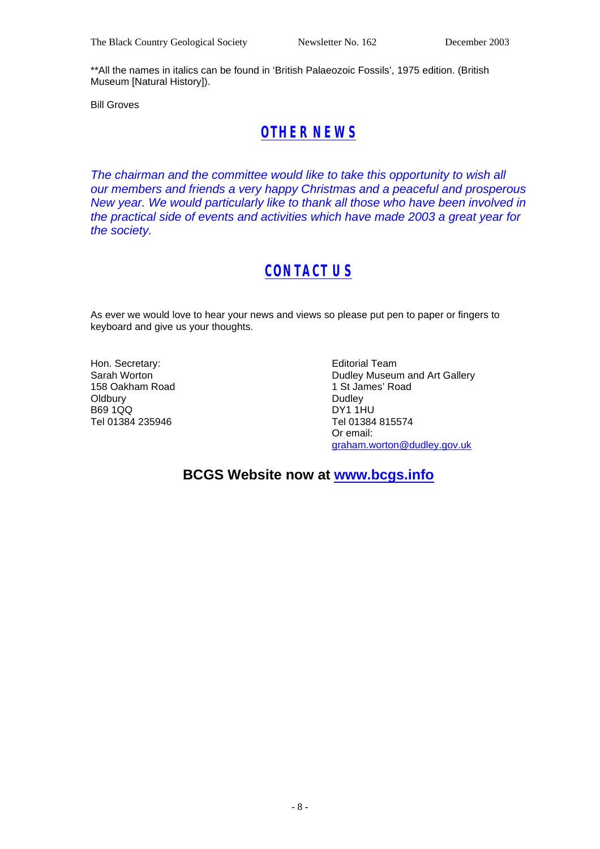\*\*All the names in italics can be found in 'British Palaeozoic Fossils', 1975 edition. (British Museum [Natural History]).

Bill Groves

# *OTHER NEWS*

*The chairman and the committee would like to take this opportunity to wish all our members and friends a very happy Christmas and a peaceful and prosperous New year. We would particularly like to thank all those who have been involved in the practical side of events and activities which have made 2003 a great year for the society.*

# *CONTACT US*

As ever we would love to hear your news and views so please put pen to paper or fingers to keyboard and give us your thoughts.

Hon. Secretary: Sarah Worton 158 Oakham Road **Oldbury** B69 1QQ Tel 01384 235946

Editorial Team Dudley Museum and Art Gallery 1 St James' Road **Dudley** DY1 1HU Tel 01384 815574 Or email: graham.worton@dudley.gov.uk

**BCGS Website now at www.bcgs.info**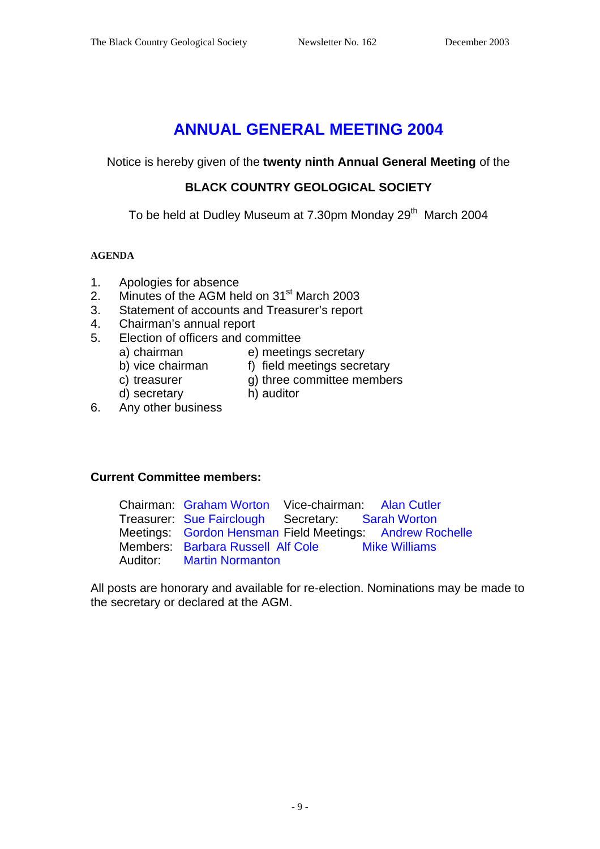# **ANNUAL GENERAL MEETING 2004**

Notice is hereby given of the **twenty ninth Annual General Meeting** of the

### **BLACK COUNTRY GEOLOGICAL SOCIETY**

To be held at Dudley Museum at 7.30pm Monday 29<sup>th</sup> March 2004

### **AGENDA**

- 1. Apologies for absence
- 2. Minutes of the AGM held on 31<sup>st</sup> March 2003
- 3. Statement of accounts and Treasurer's report
- 4. Chairman's annual report
- 5. Election of officers and committee
	-
	- a) chairman e) meetings secretary<br>b) vice chairman f) field meetings secre
		-
- f) field meetings secretary
- c) treasurer g) three committee members
- d) secretary h) auditor
	-
- 6. Any other business

### **Current Committee members:**

| Chairman: Graham Worton Vice-chairman: Alan Cutler |                                                          |
|----------------------------------------------------|----------------------------------------------------------|
| Treasurer: Sue Fairclough Secretary: Sarah Worton  |                                                          |
|                                                    | Meetings: Gordon Hensman Field Meetings: Andrew Rochelle |
| Members: Barbara Russell Alf Cole Mike Williams    |                                                          |
| <b>Auditor:</b> Martin Normanton                   |                                                          |

All posts are honorary and available for re-election. Nominations may be made to the secretary or declared at the AGM.